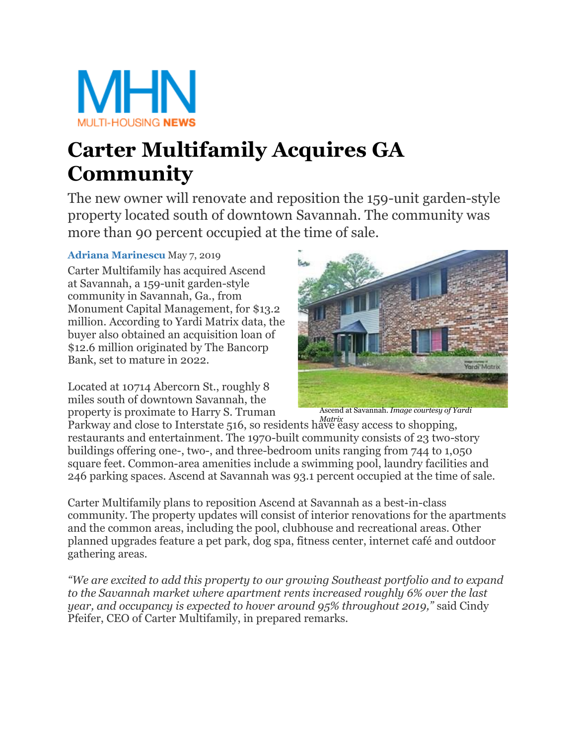

## **Carter Multifamily Acquires GA Community**

The new owner will renovate and reposition the 159-unit garden-style property located south of downtown Savannah. The community was more than 90 percent occupied at the time of sale.

## **[Adriana Marinescu](https://www.multihousingnews.com/author/adriana-marinescu/)** May 7, 2019

Carter Multifamily has acquired Ascend at Savannah, a 159-unit garden-style community in Savannah, Ga., from Monument Capital Management, for \$13.2 million. According to Yardi Matrix data, the buyer also obtained an acquisition loan of \$12.6 million originated by The Bancorp Bank, set to mature in 2022.

Located at 10714 Abercorn St., roughly 8 miles south of downtown Savannah, the property is proximate to Harry S. Truman



Ascend at Savannah. *Image courtesy of Yardi* 

Parkway and close to Interstate 516, so residents have easy access to shopping, *Matrix* restaurants and entertainment. The 1970-built community consists of 23 two-story buildings offering one-, two-, and three-bedroom units ranging from 744 to 1,050 square feet. Common-area amenities include a swimming pool, laundry facilities and 246 parking spaces. Ascend at Savannah was 93.1 percent occupied at the time of sale.

 Carter Multifamily plans to reposition Ascend at Savannah as a best-in-class community. The property updates will consist of interior renovations for the apartments and the common areas, including the pool, clubhouse and recreational areas. Other planned upgrades feature a pet park, dog spa, fitness center, internet café and outdoor gathering areas.

 *to the Savannah market where apartment rents increased roughly 6% over the last year, and occupancy is expected to hover around 95% throughout 2019,"* said Cindy *"We are excited to add this property to our growing Southeast portfolio and to expand*  Pfeifer, CEO of Carter Multifamily, in prepared remarks.